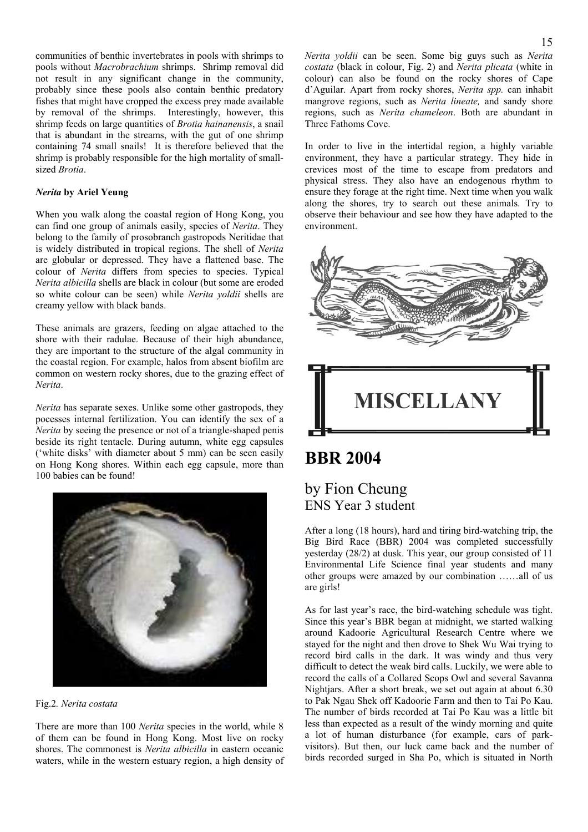communities of benthic invertebrates in pools with shrimps to pools without *Macrobrachium* shrimps. Shrimp removal did not result in any significant change in the community, probably since these pools also contain benthic predatory fishes that might have cropped the excess prey made available by removal of the shrimps. Interestingly, however, this shrimp feeds on large quantities of *Brotia hainanensis*, a snail that is abundant in the streams, with the gut of one shrimp containing 74 small snails! It is therefore believed that the shrimp is probably responsible for the high mortality of smallsized *Brotia*.

### *Nerita* **by Ariel Yeung**

When you walk along the coastal region of Hong Kong, you can find one group of animals easily, species of *Nerita*. They belong to the family of prosobranch gastropods Neritidae that is widely distributed in tropical regions. The shell of *Nerita* are globular or depressed. They have a flattened base. The colour of *Nerita* differs from species to species. Typical *Nerita albicilla* shells are black in colour (but some are eroded so white colour can be seen) while *Nerita yoldii* shells are creamy yellow with black bands.

These animals are grazers, feeding on algae attached to the shore with their radulae. Because of their high abundance, they are important to the structure of the algal community in the coastal region. For example, halos from absent biofilm are common on western rocky shores, due to the grazing effect of *Nerita*.

*Nerita* has separate sexes. Unlike some other gastropods, they pocesses internal fertilization. You can identify the sex of a *Nerita* by seeing the presence or not of a triangle-shaped penis beside its right tentacle. During autumn, white egg capsules ('white disks' with diameter about 5 mm) can be seen easily on Hong Kong shores. Within each egg capsule, more than 100 babies can be found!



Fig.2*. Nerita costata* 

There are more than 100 *Nerita* species in the world, while 8 of them can be found in Hong Kong. Most live on rocky shores. The commonest is *Nerita albicilla* in eastern oceanic waters, while in the western estuary region, a high density of *Nerita yoldii* can be seen. Some big guys such as *Nerita costata* (black in colour, Fig. 2) and *Nerita plicata* (white in colour) can also be found on the rocky shores of Cape d'Aguilar. Apart from rocky shores, *Nerita spp.* can inhabit mangrove regions, such as *Nerita lineate,* and sandy shore regions, such as *Nerita chameleon*. Both are abundant in Three Fathoms Cove.

In order to live in the intertidal region, a highly variable environment, they have a particular strategy. They hide in crevices most of the time to escape from predators and physical stress. They also have an endogenous rhythm to ensure they forage at the right time. Next time when you walk along the shores, try to search out these animals. Try to observe their behaviour and see how they have adapted to the environment.



## **BBR 2004**

### by Fion Cheung ENS Year 3 student

After a long (18 hours), hard and tiring bird-watching trip, the Big Bird Race (BBR) 2004 was completed successfully yesterday (28/2) at dusk. This year, our group consisted of 11 Environmental Life Science final year students and many other groups were amazed by our combination ……all of us are girls!

As for last year's race, the bird-watching schedule was tight. Since this year's BBR began at midnight, we started walking around Kadoorie Agricultural Research Centre where we stayed for the night and then drove to Shek Wu Wai trying to record bird calls in the dark. It was windy and thus very difficult to detect the weak bird calls. Luckily, we were able to record the calls of a Collared Scops Owl and several Savanna Nightjars. After a short break, we set out again at about 6.30 to Pak Ngau Shek off Kadoorie Farm and then to Tai Po Kau. The number of birds recorded at Tai Po Kau was a little bit less than expected as a result of the windy morning and quite a lot of human disturbance (for example, cars of parkvisitors). But then, our luck came back and the number of birds recorded surged in Sha Po, which is situated in North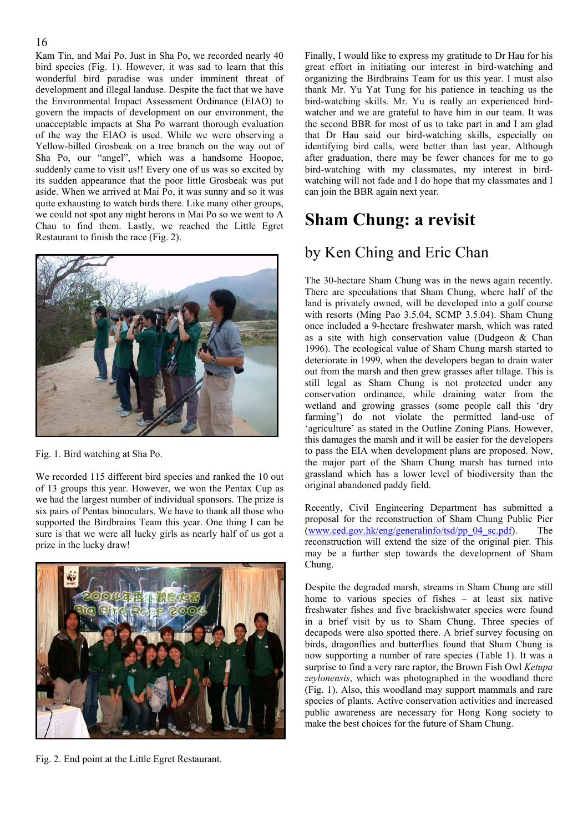Kam Tin, and Mai Po. Just in Sha Po, we recorded nearly 40 bird species (Fig. 1). However, it was sad to learn that this wonderful bird paradise was under imminent threat of development and illegal landuse. Despite the fact that we have the Environmental Impact Assessment Ordinance (EIAO) to govern the impacts of development on our environment, the unacceptable impacts at Sha Po warrant thorough evaluation of the way the EIAO is used. While we were observing a Yellow-billed Grosbeak on a tree branch on the way out of Sha Po, our "angel", which was a handsome Hoopoe, suddenly came to visit us!! Every one of us was so excited by its sudden appearance that the poor little Grosbeak was put aside. When we arrived at Mai Po, it was sunny and so it was quite exhausting to watch birds there. Like many other groups, we could not spot any night herons in Mai Po so we went to A Chau to find them. Lastly, we reached the Little Egret Restaurant to finish the race (Fig. 2).



Fig. 1. Bird watching at Sha Po.

We recorded 115 different bird species and ranked the 10 out of 13 groups this year. However, we won the Pentax Cup as we had the largest number of individual sponsors. The prize is six pairs of Pentax binoculars. We have to thank all those who supported the Birdbrains Team this year. One thing I can be sure is that we were all lucky girls as nearly half of us got a prize in the lucky draw!



Fig. 2. End point at the Little Egret Restaurant.

Finally, I would like to express my gratitude to Dr Hau for his great effort in initiating our interest in bird-watching and organizing the Birdbrains Team for us this year. I must also thank Mr. Yu Yat Tung for his patience in teaching us the bird-watching skills. Mr. Yu is really an experienced birdwatcher and we are grateful to have him in our team. It was the second BBR for most of us to take part in and I am glad that Dr Hau said our bird-watching skills, especially on identifying bird calls, were better than last year. Although after graduation, there may be fewer chances for me to go bird-watching with my classmates, my interest in birdwatching will not fade and I do hope that my classmates and I can join the BBR again next year.

# **Sham Chung: a revisit**

### by Ken Ching and Eric Chan

The 30-hectare Sham Chung was in the news again recently. There are speculations that Sham Chung, where half of the land is privately owned, will be developed into a golf course with resorts (Ming Pao 3.5.04, SCMP 3.5.04). Sham Chung once included a 9-hectare freshwater marsh, which was rated as a site with high conservation value (Dudgeon & Chan 1996). The ecological value of Sham Chung marsh started to deteriorate in 1999, when the developers began to drain water out from the marsh and then grew grasses after tillage. This is still legal as Sham Chung is not protected under any conservation ordinance, while draining water from the wetland and growing grasses (some people call this 'dry farming') do not violate the permitted land-use of 'agriculture' as stated in the Outline Zoning Plans. However, this damages the marsh and it will be easier for the developers to pass the EIA when development plans are proposed. Now, the major part of the Sham Chung marsh has turned into grassland which has a lower level of biodiversity than the original abandoned paddy field.

Recently, Civil Engineering Department has submitted a proposal for the reconstruction of Sham Chung Public Pier  $(www.ced.gov.hk/eng/generalinfo/tsd/pp 04 sc.pdf)$ . The reconstruction will extend the size of the original pier. This may be a further step towards the development of Sham Chung.

Despite the degraded marsh, streams in Sham Chung are still home to various species of fishes – at least six native freshwater fishes and five brackishwater species were found in a brief visit by us to Sham Chung. Three species of decapods were also spotted there. A brief survey focusing on birds, dragonflies and butterflies found that Sham Chung is now supporting a number of rare species (Table 1). It was a surprise to find a very rare raptor, the Brown Fish Owl *Ketupa zeylonensis*, which was photographed in the woodland there (Fig. 1). Also, this woodland may support mammals and rare species of plants. Active conservation activities and increased public awareness are necessary for Hong Kong society to make the best choices for the future of Sham Chung.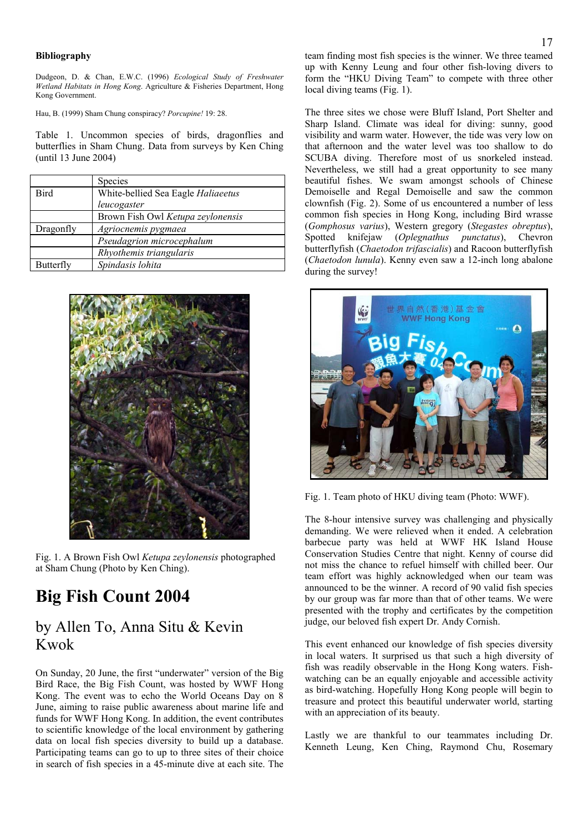#### **Bibliography**

Dudgeon, D. & Chan, E.W.C. (1996) *Ecological Study of Freshwater Wetland Habitats in Hong Kong*. Agriculture & Fisheries Department, Hong Kong Government.

Hau, B. (1999) Sham Chung conspiracy? *Porcupine!* 19: 28.

Table 1. Uncommon species of birds, dragonflies and butterflies in Sham Chung. Data from surveys by Ken Ching (until 13 June 2004)

|             | <b>Species</b>                     |  |  |
|-------------|------------------------------------|--|--|
| <b>Bird</b> | White-bellied Sea Eagle Haliaeetus |  |  |
|             | leucogaster                        |  |  |
|             | Brown Fish Owl Ketupa zeylonensis  |  |  |
| Dragonfly   | Agriocnemis pygmaea                |  |  |
|             | Pseudagrion microcephalum          |  |  |
|             | Rhyothemis triangularis            |  |  |
| Butterfly   | Spindasis lohita                   |  |  |



Fig. 1. A Brown Fish Owl *Ketupa zeylonensis* photographed at Sham Chung (Photo by Ken Ching).

## **Big Fish Count 2004**

### by Allen To, Anna Situ & Kevin Kwok

On Sunday, 20 June, the first "underwater" version of the Big Bird Race, the Big Fish Count, was hosted by WWF Hong Kong. The event was to echo the World Oceans Day on 8 June, aiming to raise public awareness about marine life and funds for WWF Hong Kong. In addition, the event contributes to scientific knowledge of the local environment by gathering data on local fish species diversity to build up a database. Participating teams can go to up to three sites of their choice in search of fish species in a 45-minute dive at each site. The

team finding most fish species is the winner. We three teamed up with Kenny Leung and four other fish-loving divers to form the "HKU Diving Team" to compete with three other local diving teams (Fig. 1).

The three sites we chose were Bluff Island, Port Shelter and Sharp Island. Climate was ideal for diving: sunny, good visibility and warm water. However, the tide was very low on that afternoon and the water level was too shallow to do SCUBA diving. Therefore most of us snorkeled instead. Nevertheless, we still had a great opportunity to see many beautiful fishes. We swam amongst schools of Chinese Demoiselle and Regal Demoiselle and saw the common clownfish (Fig. 2). Some of us encountered a number of less common fish species in Hong Kong, including Bird wrasse (*Gomphosus varius*), Western gregory (*Stegastes obreptus*), Spotted knifejaw (*Oplegnathus punctatus*), Chevron butterflyfish (*Chaetodon trifascialis*) and Racoon butterflyfish (*Chaetodon lunula*). Kenny even saw a 12-inch long abalone during the survey!



Fig. 1. Team photo of HKU diving team (Photo: WWF).

The 8-hour intensive survey was challenging and physically demanding. We were relieved when it ended. A celebration barbecue party was held at WWF HK Island House Conservation Studies Centre that night. Kenny of course did not miss the chance to refuel himself with chilled beer. Our team effort was highly acknowledged when our team was announced to be the winner. A record of 90 valid fish species by our group was far more than that of other teams. We were presented with the trophy and certificates by the competition judge, our beloved fish expert Dr. Andy Cornish.

This event enhanced our knowledge of fish species diversity in local waters. It surprised us that such a high diversity of fish was readily observable in the Hong Kong waters. Fishwatching can be an equally enjoyable and accessible activity as bird-watching. Hopefully Hong Kong people will begin to treasure and protect this beautiful underwater world, starting with an appreciation of its beauty.

Lastly we are thankful to our teammates including Dr. Kenneth Leung, Ken Ching, Raymond Chu, Rosemary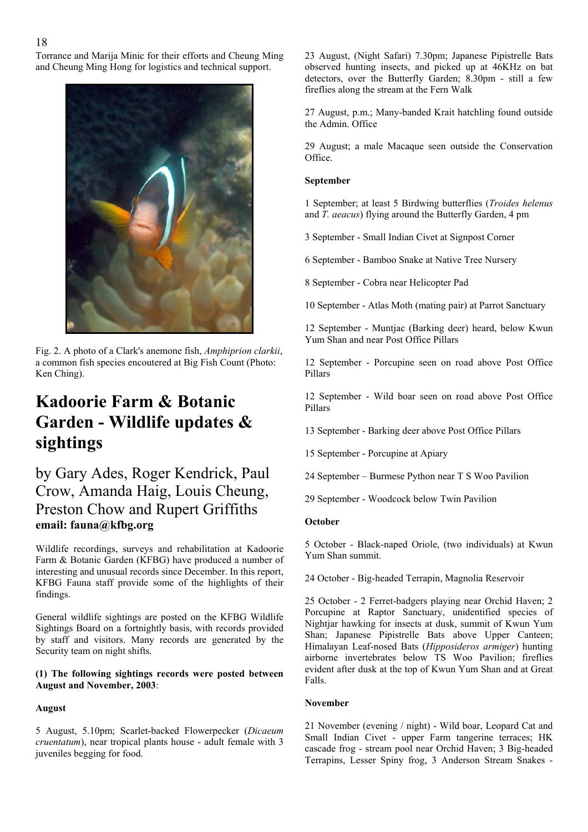Torrance and Marija Minic for their efforts and Cheung Ming and Cheung Ming Hong for logistics and technical support.



Fig. 2. A photo of a Clark's anemone fish, *Amphiprion clarkii*, a common fish species encoutered at Big Fish Count (Photo: Ken Ching).

# **Kadoorie Farm & Botanic Garden - Wildlife updates & sightings**

### by Gary Ades, Roger Kendrick, Paul Crow, Amanda Haig, Louis Cheung, Preston Chow and Rupert Griffiths **email: fauna@kfbg.org**

Wildlife recordings, surveys and rehabilitation at Kadoorie Farm & Botanic Garden (KFBG) have produced a number of interesting and unusual records since December. In this report, KFBG Fauna staff provide some of the highlights of their findings.

General wildlife sightings are posted on the KFBG Wildlife Sightings Board on a fortnightly basis, with records provided by staff and visitors. Many records are generated by the Security team on night shifts.

**(1) The following sightings records were posted between August and November, 2003**:

### **August**

5 August, 5.10pm; Scarlet-backed Flowerpecker (*Dicaeum cruentatum*), near tropical plants house - adult female with 3 juveniles begging for food.

23 August, (Night Safari) 7.30pm; Japanese Pipistrelle Bats observed hunting insects, and picked up at 46KHz on bat detectors, over the Butterfly Garden; 8.30pm - still a few fireflies along the stream at the Fern Walk

27 August, p.m.; Many-banded Krait hatchling found outside the Admin. Office

29 August; a male Macaque seen outside the Conservation Office.

#### **September**

1 September; at least 5 Birdwing butterflies (*Troides helenus* and *T. aeacus*) flying around the Butterfly Garden, 4 pm

3 September - Small Indian Civet at Signpost Corner

6 September - Bamboo Snake at Native Tree Nursery

8 September - Cobra near Helicopter Pad

10 September - Atlas Moth (mating pair) at Parrot Sanctuary

12 September - Muntjac (Barking deer) heard, below Kwun Yum Shan and near Post Office Pillars

12 September - Porcupine seen on road above Post Office Pillars

12 September - Wild boar seen on road above Post Office Pillars

13 September - Barking deer above Post Office Pillars

15 September - Porcupine at Apiary

24 September – Burmese Python near T S Woo Pavilion

29 September - Woodcock below Twin Pavilion

#### **October**

5 October - Black-naped Oriole, (two individuals) at Kwun Yum Shan summit.

24 October - Big-headed Terrapin, Magnolia Reservoir

25 October - 2 Ferret-badgers playing near Orchid Haven; 2 Porcupine at Raptor Sanctuary, unidentified species of Nightjar hawking for insects at dusk, summit of Kwun Yum Shan; Japanese Pipistrelle Bats above Upper Canteen; Himalayan Leaf-nosed Bats (*Hipposideros armiger*) hunting airborne invertebrates below TS Woo Pavilion; fireflies evident after dusk at the top of Kwun Yum Shan and at Great Falls.

#### **November**

21 November (evening / night) - Wild boar, Leopard Cat and Small Indian Civet - upper Farm tangerine terraces; HK cascade frog - stream pool near Orchid Haven; 3 Big-headed Terrapins, Lesser Spiny frog, 3 Anderson Stream Snakes -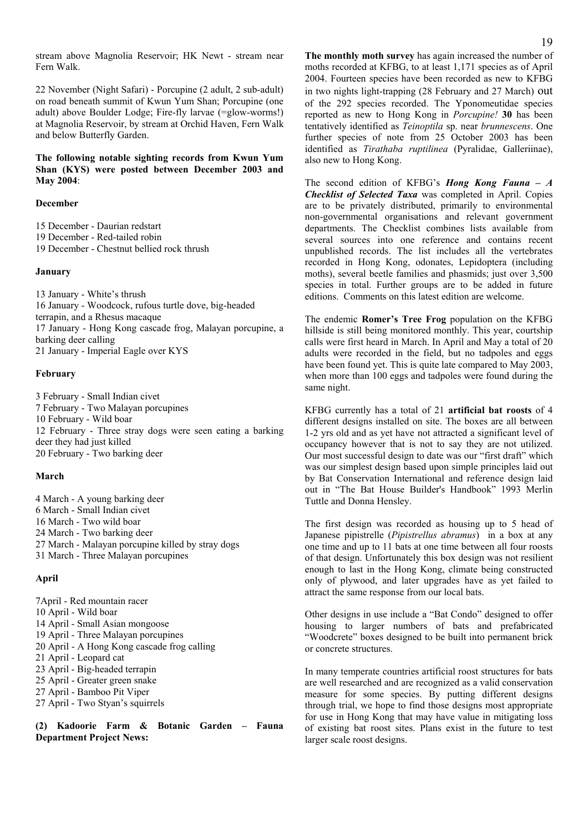stream above Magnolia Reservoir; HK Newt - stream near Fern Walk.

22 November (Night Safari) - Porcupine (2 adult, 2 sub-adult) on road beneath summit of Kwun Yum Shan; Porcupine (one adult) above Boulder Lodge; Fire-fly larvae (=glow-worms!) at Magnolia Reservoir, by stream at Orchid Haven, Fern Walk and below Butterfly Garden.

**The following notable sighting records from Kwun Yum Shan (KYS) were posted between December 2003 and May 2004**:

#### **December**

15 December - Daurian redstart 19 December - Red-tailed robin

19 December - Chestnut bellied rock thrush

#### **January**

13 January - White's thrush 16 January - Woodcock, rufous turtle dove, big-headed terrapin, and a Rhesus macaque 17 January - Hong Kong cascade frog, Malayan porcupine, a barking deer calling 21 January - Imperial Eagle over KYS

#### **February**

3 February - Small Indian civet 7 February - Two Malayan porcupines 10 February - Wild boar 12 February - Three stray dogs were seen eating a barking deer they had just killed 20 February - Two barking deer

#### **March**

4 March - A young barking deer 6 March - Small Indian civet 16 March - Two wild boar 24 March - Two barking deer 27 March - Malayan porcupine killed by stray dogs 31 March - Three Malayan porcupines

#### **April**

7April - Red mountain racer 10 April - Wild boar 14 April - Small Asian mongoose 19 April - Three Malayan porcupines 20 April - A Hong Kong cascade frog calling 21 April - Leopard cat 23 April - Big-headed terrapin 25 April - Greater green snake 27 April - Bamboo Pit Viper 27 April - Two Styan's squirrels

**(2) Kadoorie Farm & Botanic Garden – Fauna Department Project News:** 

**The monthly moth survey** has again increased the number of moths recorded at KFBG, to at least 1,171 species as of April 2004. Fourteen species have been recorded as new to KFBG in two nights light-trapping (28 February and 27 March) out of the 292 species recorded. The Yponomeutidae species reported as new to Hong Kong in *Porcupine!* **30** has been tentatively identified as *Teinoptila* sp. near *brunnescens*. One further species of note from 25 October 2003 has been identified as *Tirathaba ruptilinea* (Pyralidae, Galleriinae), also new to Hong Kong.

The second edition of KFBG's *Hong Kong Fauna – A Checklist of Selected Taxa* was completed in April. Copies are to be privately distributed, primarily to environmental non-governmental organisations and relevant government departments. The Checklist combines lists available from several sources into one reference and contains recent unpublished records. The list includes all the vertebrates recorded in Hong Kong, odonates, Lepidoptera (including moths), several beetle families and phasmids; just over 3,500 species in total. Further groups are to be added in future editions. Comments on this latest edition are welcome.

The endemic **Romer's Tree Frog** population on the KFBG hillside is still being monitored monthly. This year, courtship calls were first heard in March. In April and May a total of 20 adults were recorded in the field, but no tadpoles and eggs have been found yet. This is quite late compared to May 2003, when more than 100 eggs and tadpoles were found during the same night.

KFBG currently has a total of 21 **artificial bat roosts** of 4 different designs installed on site. The boxes are all between 1-2 yrs old and as yet have not attracted a significant level of occupancy however that is not to say they are not utilized. Our most successful design to date was our "first draft" which was our simplest design based upon simple principles laid out by Bat Conservation International and reference design laid out in "The Bat House Builder's Handbook" 1993 Merlin Tuttle and Donna Hensley.

The first design was recorded as housing up to 5 head of Japanese pipistrelle (*Pipistrellus abramus*) in a box at any one time and up to 11 bats at one time between all four roosts of that design. Unfortunately this box design was not resilient enough to last in the Hong Kong, climate being constructed only of plywood, and later upgrades have as yet failed to attract the same response from our local bats.

Other designs in use include a "Bat Condo" designed to offer housing to larger numbers of bats and prefabricated "Woodcrete" boxes designed to be built into permanent brick or concrete structures.

In many temperate countries artificial roost structures for bats are well researched and are recognized as a valid conservation measure for some species. By putting different designs through trial, we hope to find those designs most appropriate for use in Hong Kong that may have value in mitigating loss of existing bat roost sites. Plans exist in the future to test larger scale roost designs.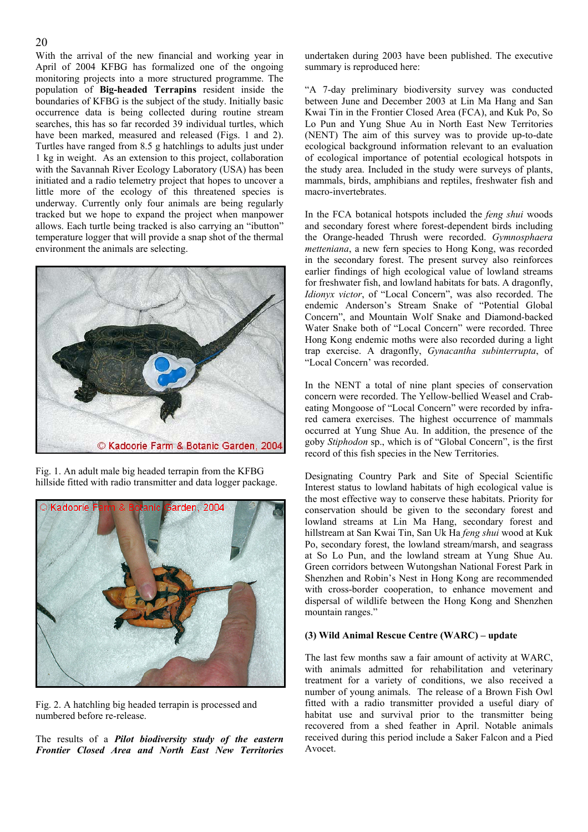#### 20

With the arrival of the new financial and working year in April of 2004 KFBG has formalized one of the ongoing monitoring projects into a more structured programme. The population of **Big-headed Terrapins** resident inside the boundaries of KFBG is the subject of the study. Initially basic occurrence data is being collected during routine stream searches, this has so far recorded 39 individual turtles, which have been marked, measured and released (Figs. 1 and 2). Turtles have ranged from 8.5 g hatchlings to adults just under 1 kg in weight. As an extension to this project, collaboration with the Savannah River Ecology Laboratory (USA) has been initiated and a radio telemetry project that hopes to uncover a little more of the ecology of this threatened species is underway. Currently only four animals are being regularly tracked but we hope to expand the project when manpower allows. Each turtle being tracked is also carrying an "ibutton" temperature logger that will provide a snap shot of the thermal environment the animals are selecting.



Fig. 1. An adult male big headed terrapin from the KFBG hillside fitted with radio transmitter and data logger package.



Fig. 2. A hatchling big headed terrapin is processed and numbered before re-release.

The results of a *Pilot biodiversity study of the eastern Frontier Closed Area and North East New Territories* undertaken during 2003 have been published. The executive summary is reproduced here:

"A 7-day preliminary biodiversity survey was conducted between June and December 2003 at Lin Ma Hang and San Kwai Tin in the Frontier Closed Area (FCA), and Kuk Po, So Lo Pun and Yung Shue Au in North East New Territories (NENT) The aim of this survey was to provide up-to-date ecological background information relevant to an evaluation of ecological importance of potential ecological hotspots in the study area. Included in the study were surveys of plants, mammals, birds, amphibians and reptiles, freshwater fish and macro-invertebrates.

In the FCA botanical hotspots included the *feng shui* woods and secondary forest where forest-dependent birds including the Orange-headed Thrush were recorded. *Gymnosphaera metteniana*, a new fern species to Hong Kong, was recorded in the secondary forest. The present survey also reinforces earlier findings of high ecological value of lowland streams for freshwater fish, and lowland habitats for bats. A dragonfly, *Idionyx victor*, of "Local Concern", was also recorded. The endemic Anderson's Stream Snake of "Potential Global Concern", and Mountain Wolf Snake and Diamond-backed Water Snake both of "Local Concern" were recorded. Three Hong Kong endemic moths were also recorded during a light trap exercise. A dragonfly, *Gynacantha subinterrupta*, of "Local Concern' was recorded.

In the NENT a total of nine plant species of conservation concern were recorded. The Yellow-bellied Weasel and Crabeating Mongoose of "Local Concern" were recorded by infrared camera exercises. The highest occurrence of mammals occurred at Yung Shue Au. In addition, the presence of the goby *Stiphodon* sp., which is of "Global Concern", is the first record of this fish species in the New Territories.

Designating Country Park and Site of Special Scientific Interest status to lowland habitats of high ecological value is the most effective way to conserve these habitats. Priority for conservation should be given to the secondary forest and lowland streams at Lin Ma Hang, secondary forest and hillstream at San Kwai Tin, San Uk Ha *feng shui* wood at Kuk Po, secondary forest, the lowland stream/marsh, and seagrass at So Lo Pun, and the lowland stream at Yung Shue Au. Green corridors between Wutongshan National Forest Park in Shenzhen and Robin's Nest in Hong Kong are recommended with cross-border cooperation, to enhance movement and dispersal of wildlife between the Hong Kong and Shenzhen mountain ranges."

#### **(3) Wild Animal Rescue Centre (WARC) – update**

The last few months saw a fair amount of activity at WARC, with animals admitted for rehabilitation and veterinary treatment for a variety of conditions, we also received a number of young animals. The release of a Brown Fish Owl fitted with a radio transmitter provided a useful diary of habitat use and survival prior to the transmitter being recovered from a shed feather in April. Notable animals received during this period include a Saker Falcon and a Pied Avocet.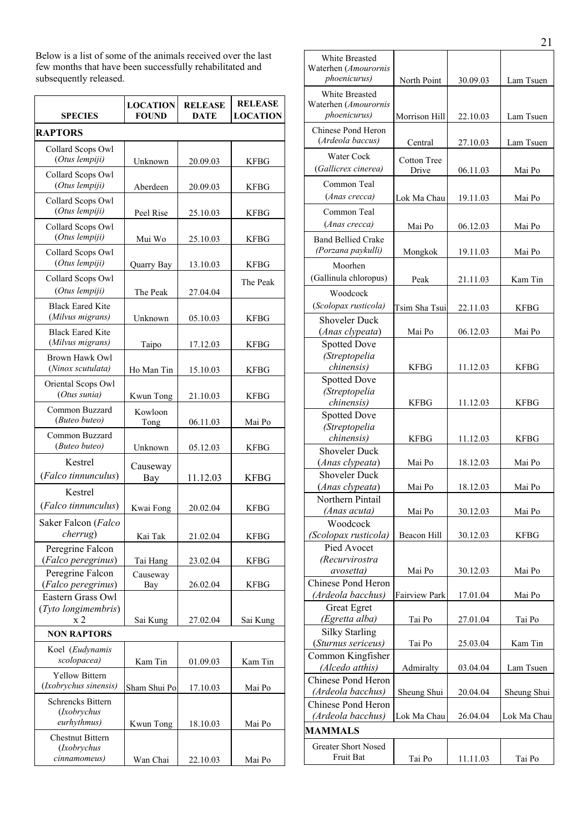Below is a list of some of the animals received over the last few months that have been successfully rehabilitated and subsequently released.

| <b>SPECIES</b>                                         | <b>LOCATION</b><br><b>FOUND</b> | <b>RELEASE</b><br><b>DATE</b> | <b>RELEASE</b><br><b>LOCATION</b> |
|--------------------------------------------------------|---------------------------------|-------------------------------|-----------------------------------|
| <b>RAPTORS</b>                                         |                                 |                               |                                   |
| Collard Scops Owl                                      |                                 |                               |                                   |
| (Otus lempiji)                                         | Unknown                         | 20.09.03                      | <b>KFBG</b>                       |
| Collard Scops Owl<br>(Otus lempiji)                    | Aberdeen                        | 20.09.03                      | <b>KFBG</b>                       |
| Collard Scops Owl<br>(Otus lempiji)                    | Peel Rise                       | 25.10.03                      | <b>KFBG</b>                       |
| Collard Scops Owl<br>(Otus lempiji)                    | Mui Wo                          | 25.10.03                      | <b>KFBG</b>                       |
| Collard Scops Owl<br>(Otus lempiji)                    | Quarry Bay                      | 13.10.03                      | <b>KFBG</b>                       |
| Collard Scops Owl<br>(Otus lempiji)                    | The Peak                        | 27.04.04                      | The Peak                          |
| <b>Black Eared Kite</b><br>(Milvus migrans)            | Unknown                         | 05.10.03                      | <b>KFBG</b>                       |
| <b>Black Eared Kite</b><br>(Milvus migrans)            | Taipo                           | 17.12.03                      | <b>KFBG</b>                       |
| Brown Hawk Owl<br>(Ninox scutulata)                    | Ho Man Tin                      | 15.10.03                      | <b>KFBG</b>                       |
| Oriental Scops Owl<br>(Otus sunia)                     | Kwun Tong                       | 21.10.03                      | <b>KFBG</b>                       |
| Common Buzzard<br>(Buteo buteo)                        | Kowloon<br>Tong                 | 06.11.03                      | Mai Po                            |
| Common Buzzard<br>(Buteo buteo)                        | Unknown                         | 05.12.03                      | <b>KFBG</b>                       |
| Kestrel<br>(Falco tinnunculus)                         | Causeway<br>Bay                 | 11.12.03                      | <b>KFBG</b>                       |
| Kestrel<br>(Falco tinnunculus)                         | Kwai Fong                       | 20.02.04                      | <b>KFBG</b>                       |
| Saker Falcon (Falco<br>cherrug)                        | Kai Tak                         | 21.02.04                      | <b>KFBG</b>                       |
| Peregrine Falcon<br>(Falco peregrinus)                 | Tai Hang                        | 23.02.04                      | <b>KFBG</b>                       |
| Peregrine Falcon<br>(Falco peregrinus)                 | Causeway<br>Bay                 | 26.02.04                      | <b>KFBG</b>                       |
| Eastern Grass Owl<br>(Tyto longimembris)<br>x 2        | Sai Kung                        | 27.02.04                      | Sai Kung                          |
| <b>NON RAPTORS</b>                                     |                                 |                               |                                   |
| Koel (Eudynamis<br>scolopacea)                         | Kam Tin                         | 01.09.03                      | Kam Tin                           |
| <b>Yellow Bittern</b><br>(Ixobrychus sinensis)         | Sham Shui Po                    | 17.10.03                      | Mai Po                            |
| <b>Schrencks Bittern</b><br>(Ixobrychus<br>eurhythmus) | Kwun Tong                       | 18.10.03                      | Mai Po                            |
| <b>Chestnut Bittern</b><br>(Ixobrychus<br>cinnamomeus) | Wan Chai                        | 22.10.03                      | Mai Po                            |

| White Breasted<br>Waterhen (Amourornis<br>phoenicurus) | North Point        |          | Lam Tsuen   |  |  |
|--------------------------------------------------------|--------------------|----------|-------------|--|--|
|                                                        |                    | 30.09.03 |             |  |  |
| White Breasted                                         |                    |          |             |  |  |
| Waterhen (Amourornis<br>phoenicurus)                   | Morrison Hill      |          | Lam Tsuen   |  |  |
|                                                        |                    | 22.10.03 |             |  |  |
| Chinese Pond Heron<br>(Ardeola baccus)                 |                    |          |             |  |  |
|                                                        | Central            | 27.10.03 | Lam Tsuen   |  |  |
| Water Cock                                             | <b>Cotton Tree</b> |          |             |  |  |
| (Gallicrex cinerea)                                    | Drive              | 06.11.03 | Mai Po      |  |  |
| Common Teal                                            |                    |          |             |  |  |
| (Anas crecca)                                          | Lok Ma Chau        | 19.11.03 | Mai Po      |  |  |
| Common Teal                                            |                    |          |             |  |  |
| (Anas crecca)                                          | Mai Po             |          | Mai Po      |  |  |
|                                                        |                    | 06.12.03 |             |  |  |
| <b>Band Bellied Crake</b><br>(Porzana paykulli)        |                    |          |             |  |  |
|                                                        | Mongkok            | 19.11.03 | Mai Po      |  |  |
| Moorhen                                                |                    |          |             |  |  |
| (Gallinula chloropus)                                  | Peak               | 21.11.03 | Kam Tin     |  |  |
| Woodcock                                               |                    |          |             |  |  |
| (Scolopax rusticola)                                   | Tsim Sha Tsui      | 22.11.03 | KFBG        |  |  |
| <b>Shoveler Duck</b>                                   |                    |          |             |  |  |
| (Anas clypeata)                                        | Mai Po             | 06.12.03 | Mai Po      |  |  |
| <b>Spotted Dove</b>                                    |                    |          |             |  |  |
| (Streptopelia                                          |                    |          |             |  |  |
| chinensis)                                             | <b>KFBG</b>        | 11.12.03 | <b>KFBG</b> |  |  |
| <b>Spotted Dove</b>                                    |                    |          |             |  |  |
| (Streptopelia                                          |                    |          |             |  |  |
| chinensis)                                             | <b>KFBG</b>        | 11.12.03 | <b>KFBG</b> |  |  |
| <b>Spotted Dove</b>                                    |                    |          |             |  |  |
| (Streptopelia                                          |                    |          |             |  |  |
| chinensis)                                             | <b>KFBG</b>        | 11.12.03 | <b>KFBG</b> |  |  |
| <b>Shoveler Duck</b>                                   |                    |          |             |  |  |
| (Anas clypeata)                                        | Mai Po             | 18.12.03 | Mai Po      |  |  |
| <b>Shoveler Duck</b>                                   |                    |          |             |  |  |
| (Anas clypeata)                                        | Mai Po             | 18.12.03 | Mai Po      |  |  |
| Northern Pintail                                       |                    |          |             |  |  |
| (Anas acuta)                                           | Mai Po             | 30.12.03 | Mai Po      |  |  |
| Woodcock                                               |                    |          |             |  |  |
| (Scolopax rusticola)                                   | Beacon Hill        | 30.12.03 | <b>KFBG</b> |  |  |
| Pied Avocet                                            |                    |          |             |  |  |
| (Recurvirostra                                         |                    |          |             |  |  |
| avosetta)                                              | Mai Po             | 30.12.03 | Mai Po      |  |  |
| Chinese Pond Heron                                     |                    |          |             |  |  |
| (Ardeola bacchus)                                      | Fairview Park      | 17.01.04 | Mai Po      |  |  |
| <b>Great Egret</b>                                     |                    |          |             |  |  |
| (Egretta alba)                                         | Tai Po             | 27.01.04 | Tai Po      |  |  |
| <b>Silky Starling</b>                                  |                    |          |             |  |  |
| (Sturnus sericeus)                                     | Tai Po             | 25.03.04 | Kam Tin     |  |  |
| Common Kingfisher                                      |                    |          |             |  |  |
| (Alcedo atthis)                                        | Admiralty          | 03.04.04 | Lam Tsuen   |  |  |
| Chinese Pond Heron                                     |                    |          |             |  |  |
| (Ardeola bacchus)                                      | Sheung Shui        | 20.04.04 | Sheung Shui |  |  |
| Chinese Pond Heron                                     |                    |          |             |  |  |
| (Ardeola bacchus)                                      | Lok Ma Chau        | 26.04.04 | Lok Ma Chau |  |  |
| <b>MAMMALS</b>                                         |                    |          |             |  |  |
| <b>Greater Short Nosed</b>                             |                    |          |             |  |  |
| Fruit Bat                                              | Tai Po             | 11.11.03 | Tai Po      |  |  |
|                                                        |                    |          |             |  |  |